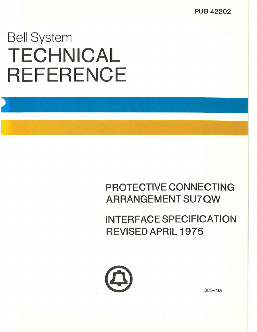**PUB 42202** 

# Bell System **TECHNICAL REFERENCE**

# **PROTECTIVE CONNECTING ARRANGEMENTSU7QW**

**INTERFACE SPECIFICATION REVISED APRIL 1975** 

326-719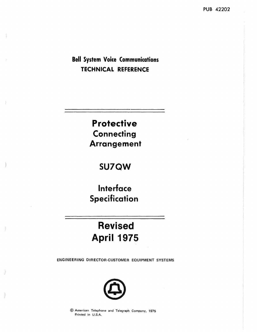**Bell System Voice Communications TECHNICAL REFERENCE** 

> **Protective Connecting Arrangement**

# **SU7QW**

Interface Specification

# Revised April 1975

ENGINEERING DIRECTOR-CUSTOMER EQUIPMENT SYSTEMS



@ American Telephone and Telegraph Company, 1975 Printed in U.S.A.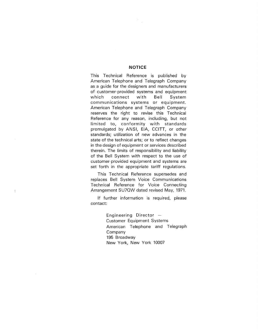#### **NOTICE**

This Technical Reference is published by American Telephone and Telegraph Company as a guide for the designers and manufacturers of customer-provided systems and equipment which connect with Bell System communications systems or equipment. American Telephone and Telegraph Company reserves the right to revise this Technical Reference for any reason, including, but not limited to, conformity with standards promulgated by ANSI, EIA, CCITT, or other standards; utilization of new advances in the state of the technical arts; or to reflect changes in the design of equipment or services described therein. The limits of responsibility and liability of the Bell System with respect to the use of customer-provided equipment and systems are set forth in the appropriate tariff regulations.

 $\bar{z}$ 

 $\frac{t}{t}$ 

This Technical Reference supersedes and replaces Bell System Voice Communications Technical Reference for Voice Connecting Arrangement SU7OW dated revised May, 1971.

If further information is required, please contact:

> Engineering Director  $-$ Customer Equipment Systems American Telephone and Telegraph Company 195 Broadway New York, New York 10007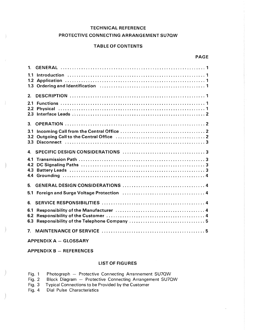# TECHNICAL REFERENCE

# PROTECTIVE CONNECTING ARRANGEMENT SU7QW

# TABLE OF CONTENTS

PAGE

| 1 <sup>1</sup> |                                                                                                                                                                                                                                |  |
|----------------|--------------------------------------------------------------------------------------------------------------------------------------------------------------------------------------------------------------------------------|--|
| 1.1            |                                                                                                                                                                                                                                |  |
| 1.2            |                                                                                                                                                                                                                                |  |
| 1.3            | Ordering and Identification (a) in the contract of the contract of the contract of the contract of the contract of the contract of the contract of the contract of the contract of the contract of the contract of the contrac |  |
| 2.             |                                                                                                                                                                                                                                |  |
| 2.1            |                                                                                                                                                                                                                                |  |
| 2.2            |                                                                                                                                                                                                                                |  |
| 2.3            |                                                                                                                                                                                                                                |  |
| 3.             |                                                                                                                                                                                                                                |  |
| 3.1            |                                                                                                                                                                                                                                |  |
| 3.2            |                                                                                                                                                                                                                                |  |
| 3.3            |                                                                                                                                                                                                                                |  |
| 4.             |                                                                                                                                                                                                                                |  |
| 4.1            |                                                                                                                                                                                                                                |  |
| 4.2            |                                                                                                                                                                                                                                |  |
| 4.3<br>4.4     |                                                                                                                                                                                                                                |  |
|                |                                                                                                                                                                                                                                |  |
| 5.             |                                                                                                                                                                                                                                |  |
| 5.1            | Foreign and Surge Voltage Protection (and all and all and survey of 4                                                                                                                                                          |  |
| 6.             |                                                                                                                                                                                                                                |  |
| 6.1            |                                                                                                                                                                                                                                |  |
| 6.2            |                                                                                                                                                                                                                                |  |
| 6.3            |                                                                                                                                                                                                                                |  |
| 7 <sup>1</sup> |                                                                                                                                                                                                                                |  |

APPENDIX A - GLOSSARY

 $APPENDIX B - REFERENCES$ 

# LIST OF FIGURES

| Photograph - Protective Connecting Arrannement SU7QW | Fig. |  |  |  |  |  |
|------------------------------------------------------|------|--|--|--|--|--|
|------------------------------------------------------|------|--|--|--|--|--|

- Fig. 2 Block Diagram Protective Connecting Arrangement SU7QW
- Fig. 3 Typical Connections to be Provided by the Customer
- Fig. 4 Dial Pulse Characteristics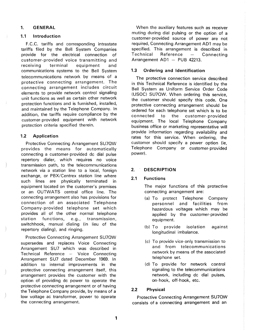# **1. GENERAL**

# **1.1 Introduction**

F.C.C. tariffs and corresponding intrastate tariffs filed by the Bell System Companies provide for the electrical connection of customer-provided voice transmitting and receiving terminal equipment and communications systems to the Bell System telecommunications network by means of a protective connecting arrangement. The connecting arrangement includes circuit elements to provide network control signaling unit functions as well as certain other network protection functions and is furnished, installed, and maintained by the Telephone Company. In addition, the tariffs require compliance by the customer- provided equipment with network protection criteria specified therein.

# **1.2 Application**

Protective Connecting Arrangement SU70W provides the means for automatically connecting a customer-provided de dial pulse repertory dialer, which requires no voice transmission path, to the telecommunications network via a station line to a local, foreign exchange, or PBX/Centrex station line where such lines are physically terminated in equipment located on the customer's premises or an OUTWATS central office line. The connecting arrangement also has provisions for connection of an associated Telephone Company- provided telephone set which provides all of the other normal telephone station functions, e.g., transmission, switchhook, manual dialing (in lieu of the repertory dialing), and ringing.

Protective Connecting Arrangement SU70W supersedes and replaces Voice Connecting Arrangement SU7 which was described in Technical Reference - Voice Connecting Arrangement SU7 dated December 1969. In addition to internal improvements in the protective connecting arrangement itself, this arrangement provides the customer with the option of providing de power to operate the protective connecting arrangement or of having the Telephone Company provide, by means of a low voltage ac transformer, power to operate the connecting arrangement.

When the auxiliary features such as receiver muting during dial pulsing or the option of a customer-provided source of power are not required, Connecting Arrangement AD1 may be specified. This arrangement is described in Technical Reference - Connecting Arrangement  $AD1 - PUB 42213$ .

# **1.3 Ordering and Identification**

The protective connection service described in this Technical Reference is identified by the Bell System as Uniform Service Order Code (USOC) SU7QW. When ordering this service, the customer should specify this code. One protective connecting arrangement should be ordered for each telephone set which is to be connected to the customer- provided equipment. The local Telephone Company business office or marketing representative will provide information regarding availability and rates for this service. When ordering, the customer should specify a power option (ie, Telephone Company or customer-provided power).

# **2. DESCRIPTION**

# **2.1 Functions**

The major functions of this protective connecting arrangement are:

- (a) To protect Telephone Company personnel and facilities from hazardous voltages which may be applied by the customer-provided equipment.
- (b) To provide isolation against longitudinal imbalance.
- (c) To provide vice-only transmission to and from telecommunications network by means of the associated telephone set.
- (d) To provide for network control signaling to the telecommunications network, including de dial pulses, on-hook, off-hook, etc.

# **2.2 Physical**

Protective Connecting Arrangement SU7QW consists of a connecting arrangement and an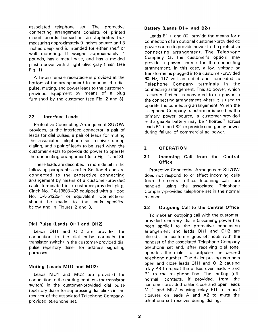associated telephone set. The protective connecting arrangement consists of printed circuit boards housed in an apparatus box measuring approximately 9 inches square and 3 inches deep and is intended for either shelf or wall mounting. It weighs approximately 4 pounds, has a metal base, and has a molded plastic cover with a light olive-gray finish (see Fig. 1).

A 15-pin female receptacle is provided at the bottom of the arrangement to connect the dial pulse, muting, and power leads to the customerprovided equipment by means of a plug furnished by the customer (see Fig. 2 and 3).

# **2.3 Interface Leads**

Protective Connecting Arrangement SU7QW provides, at the interface connector, a pair of leads for dial pulses, a pair of leads for muting the associated telephone set receiver during dialing, and a pair of leads to be used when the customer elects to provide de power to operate the connecting arrangement (see Fig. 2 and 3).

These leads are described in more detail in the following paragraphs and in Section 4 and are connected to the protective connecting arrangement by means of a customer-provided cable terminated in a customer-provided plug, Cinch No. DA-19603-403 equipped with a Hood No. DA-51225-1 or equivalent. Connections should be made to the leads specified below and in Figures 2 and 3.

# **Dial Pulse (Leads OH1 and OH2)**

Leads OH1 and OH2 are provided for connection to the dial pulse contacts (or transistor switch) in the customer- provided dial pulse repertory dialer for address signaling purposes.

# **Muting (Leads MU1 and MU2)**

Leads MU1 and MU2 are provided for connection to the muting contacts (or transistor switch) in the customer-provided dial pulse repertory dialer for suppressing dial clicks in the receiver of the associated Telephone Companyprovided telephone set.

# **Battery (Leads B1 + and B2-)**

Leads  $B1 +$  and  $B2$ - provide the means for a connection of an optional customer-provided de power source to provide power to the protective connecting arrangement. The Telephone Company (at the customer's option) may provide a power source for the connecting arrangement. In this case, a low voltage ac transformer is plugged into a customer-provided 60 Hz, 117 volt ac outlet and connected to Telephone Company terminals in the connecting arrangement. This ac power, which is current-limited, is converted to de power in the connecting arrangement where it is used to operate the connecting arrangement. When the Telephone Company transformer is used as the primary power source, a customer-provided rechargeable battery may be "floated" across leads 81 + and 82- to provide emergency power during failure of commercial ac power.

# **3. OPERATION**

# **3.1 Incoming Call from the Central Office**

Protective Connecting Arrangement SU70W does not respond to or affect incoming calls from the central office. Incoming calls are handled using the associated Telephone Company-provided telephone set in the normal manner.

# **3.2 Outgoing Call to the Central Office**

To make an outgoing call with the customerprovided repertory dialer (assuming power has been applied to the protective connecting arrangement and leads OH1 and OH2 are closed), the customer goes off-hook with the handset of the associated Telephone Company telephone set and, after receiving dial tone, operates the dialer to outpulse the desired telephone number. The dialer pulsing contacts open and close leads OH1 and OH2 causing relay PR to repeat the pulses over leads R and R1 to the telephone line. The muting (offnormal) contacts, if provided, from the customer- provided dialer close and open leads MU1 and MU2 causing relay RU to repeat closures on leads A and A2 to mute the telephone set receiver during dialing.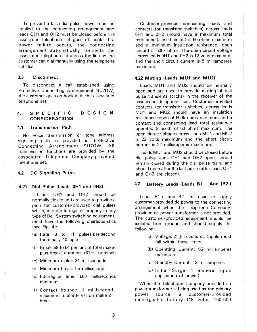To prevent a false dial pulse, power must be applied to the connecting arrangement and leads OH1 and OH2 must be closed before the associated telephone set goes off-hook. If a power failure occurs, the connecting arrangement automatically connects the associated telephone set across the line so the customer can dial manually using the telephone set dial.

### **3.3 Disconnect**

To disconnect a call established using Protective Connecting Arrangement SU7OW, the customer goes on- hook with the associated telephone set.

#### **4. SPECIFIC CONSIDERATIONS DESIGN**

# **4.1 Transmission Path**

No voice transmission or tone address signaling path is provided in Protective Connecting Arrangement SU7OW. All transmission functions are provided by the associated Telephone Company-provided telephone set.

### **4.2 DC Signaling Paths**

# **4.21 Dial Pulse (Leads 0H1 and 0H2)**

Leads OH1 and OH2 should be normally closed and are used to provide a path for customer-provided dial pulses which, in order to register properly in any type of Bell System switching equipment, must have the following characteristics (see Fig. 4):

- (a) Rate: 8 to 11 pulses-per-second (nominally 10 pps)
- (b) Break: 58 to 64 percent of total makeplus-break duration (61% nominal)
- (c) Minimum make: 34 milliseconds
- (d) Minimum break: 55 milliseconds
- (e) lnterdigital time: 600 milliseconds minimum
- (f) Contact bounce: 1 millisecond maximum total interval on make or break.

Customer- provided connecting leads and contacts ( or transistor switches) across leads 0H1 and 0H2 should have a maximum total resistance (closed circuit) of 50 ohms maximum and a minimum insulation resistance (open circuit) of 500k ohms. The open circuit voltage across leads 0H1 and 0H2 is 12 volts maximum and the short circuit current is 5 milliamperes maximum.

## **4.22 Muting (Leads MU1 and MU2)**

Leads MU1 and MU2 should be normally open and are used to provide muting of dial pulse transients (clicks) in the receiver of the associated telephone set. Customer-provided contacts (or transistor switches) across leads MU1 and MU2 should have an insulation resistance (open of 500k ohms minimum and a contact and connecting lead total resistance operated (closed) of 50 ohms maximum. The open circuit voltage across leads MU1 and MU2 is 22 volts maximum and the short circuit current is 22 milliamperes maximum.

Leads MU1 and MU2 should be closed before dial pulse leads OH1 and OH2 open, should remain closed during the dial pulse train, and should open after the last pulse (after leads OH1 and OH2 are closed).

### **4.3 Battery Leads (Leads B1** + **And (B2-)**

Leads  $B1 +$  and  $B2 -$  are used to supply customer-provided de power to the connecting arrangement when the Telephone Companyprovided ac power transformer is not provided. The customer-provided equipment should be isolated from ground and should supply the following:

- (a) Voltage:  $21 + 5$  volts dc (ripple must fall within these limits)
- (b) Operating Current: 55 milliamperes maximum
- (c) Standby Current: 12 milliamperes
- (d) Initial Surge: 1 ampere (upon application of power)

When the Telephone Company-provided ac power transformer is being used as the primary power source, a customer-provided rechargeable battery (18 volts, 150-500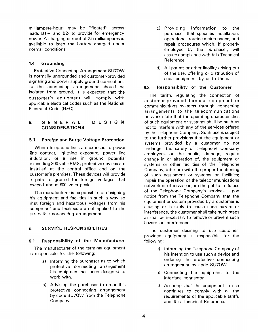milliampere-hour) may be "floated" across leads  $B1 +$  and  $B2 -$  to provide for emergency power. A charging current of 2.5 milliamperes is available to keep the battery charged under normal conditions.

# **4.4 Grounding**

Protective Connecting Arrangement SU70W is normally ungrounded and customer-provided signaling and power supply ground connections to the connecting arrangement should be isolated from ground. It is expected that the customer's equipment will comply with applicable electrical codes such as the National Electrical Code (NEC).

#### **5. G E N E R A L CONSIDERATIONS DESIGN**

# **5.1 Foreign and Surge Voltage Protection**

Where telephone lines are exposed to power line contact, lightning exposure, power line induction, or a rise in ground potential exceeding 300 volts RMS, protective devices are installed at the central office and on the customer's premises. These devices will provide a path to ground for foreign voltages that exceed about 600 volts peak.

The manufacturer is responsible for designing his equipment and facilities in such a way so that foreign and hazardous voltages from his equipment and facilities are not applied to the protective connecting arrangement.

# 6. **SERVICE RESPONSIBILITIES**

# 6.1 **Responsibility of the Manufacturer**

The manufacturer of the terminal equipment is responsible for the following:

- a) Informing the purchaser as to which protective connecting arrangement his equipment has been designed to work with.
- b) Advising the purchaser to order this protective connecting arrangement by code SU70W from the Telephone Company.
- c) Providing information to the purchaser that specifies installation, operational, routine maintenance, and repair procedures which, if properly employed by the purchaser, will assure compliance with this Technical Reference.
- d) All patent or other liability arising out of the use, offering or distribution of such equipment by or to them.

# **6.2 Responsibility of the Customer**

The tariffs regulating the connection of customer-provided terminal equipment or communications systems through connecting arrangements to the telecommunications network state that the operating characteristics of such equipment or systems shall be such as not to interfere with any of the services offered by the Telephone Company. Such use is subject to the further provisions that the equipment or systems provided by a customer do not endanger the safety of Telephone Company employees or the public; damage, require change in or alteration of, the equipment or systems or other facilities of the Telephone Company; interfere with the proper functioning of such equipment or systems or facilities; impair the operation of the telecommunications network or otherwise injure the public in its use of the Telephone Company's services. Upon notice from the Telephone Company that the equipment or system provided by a customer is causing or is likely to cause such hazard or interference, the customer shall take such steps as shall be necessary to remove or prevent such hazard or interference.

The customer desiring to use customerprovided equipment is responsible for the following:

- a) Informing the Telephone Company of his intention to use such a device and ordering the protective connecting arrangement by code SU70W.
- b) Connecting the equipment to the interface connector.
- c) Assuring that the equipment in use continues to comply with all the requirements of the applicable tariffs and this Technical Reference.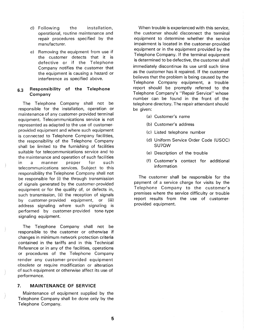- d) Following the installation, operational, routine maintenance and repair procedures specified by the manufacturer.
- e) Removing the equipment from use if the customer detects that it is defective or if the Telephone Company notifies the customer that the equipment is causing a hazard or interference as specified above.

# **6.3 Responsibility of the Telephone Company**

The Telephone Company shall not be responsible for the installation, operation or maintenance of any customer- provided terminal equipment. Telecommunications service is not represented as adapted to the use of customerprovided equipment and where such equipment is connected to Telephone Company facilities, the responsibility of the Telephone Company shall be limited to the furnishing of facilities suitable for telecommunications service and to the maintenance and operation of such facilities in a manner proper for such telecommunications services. Subject to this responsibility the Telephone Company shall not be responsible for (i) the through transmission of signals generated by the customer- provided equipment or for the quality of, or defects in, such transmission, (ii) the reception of signals by customer-provided equipment, or (iii) address signaling where such signaling is performed by customer-provided tone-type signaling equipment.

The Telephone Company shall not be responsible to the customer or otherwise if changes in minimum network protection criteria contained in the tariffs and in this Technical Reference or in any of the facilities, operations or procedures of the Telephone Company render any customer-provided equipment obsolete or require modification or alteration of such equipment or otherwise affect its use of performance.

# **7. MAINTENANCE OF SERVICE**

Maintenance of equipment supplied by the Telephone Company shall be done only by the Telephone Company.

When trouble is experienced with this service, the customer should disconnect the terminal equipment to determine whether the service impairment is located in the customer-provided equipment or in the equipment provided by the Telephone Company. If the terminal equipment is determined to be defective, the customer shall immediately discontinue its use until such time as the customer has it repaired. If the customer believes that the problem is being caused by the Telephone Company equipment, a trouble report should be promptly referred to the Telephone Company's "Repair Service" whose number can be found in the front of the telephone directory. The repair attendant should be given:

- (a) Customer's name
- (b) Customer's address
- (c) Listed telephone number
- (d) Uniform Service Order Code (USOC) SU70W
- (e) Description of the trouble
- (f) Customer's contact for additional information

The customer shall be responsible for the payment of a service charge for visits by the Telephone Company to the customer's premises where the service difficulty or trouble report results from the use of customerprovided equipment.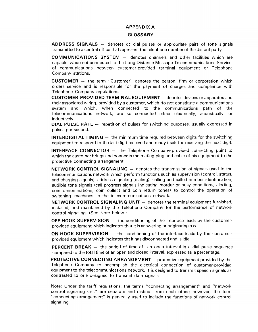# **APPENDIX A**

#### **GLOSSARY**

ADDRESS SIGNALS - denotes dc dial pulses or appropriate pairs of tone signals transmitted to a central office that represent the telephone number of the distant party.

**COMMUNICATIONS SYSTEM** - denotes channels and other facilities which are capable, when not connected to the Long Distance Message Telecommunications Service, of communications between customer-provided terminal equipment or Telephone Company stations.

**CUSTOMER** - the term "Customer" denotes the person, firm or corporation which orders service and is responsible for the payment of charges and compliance with Telephone Company regulations.

**CUSTOMER-PROVIDED TERMINAL EQUIPMENT** - denotes devices or apparatus and their associated wiring, provided by a customer, which do not constitute a communications system and which, when connected to the communications path of the telecommunications network, are so connected either electrically, acoustically, or inductively.

**DIAL PULSE RATE** – repetition of pulses for switching purposes, usually expressed in pulses-per-second.

**INTERDIGITAL TIMING**  $-$  the minimum time required between digits for the switching equipment to respond to the last digit received and ready itself for receiving the next digit.

**INTERFACE CONNECTOR** - the Telephone Company-provided connecting point to which the customer brings and connects the mating plug and cable of his equipment to the protective connecting arrangement.

**NETWORK CONTROL SIGNALING** – denotes the transmission of signals used in the telecommunications network which perform functions such as supervision (control, status, and charging signals), address signaling (dialing), calling and called number identification, audible tone signals (call progress signals indicating reorder or busy conditions, alerting, coin denominations, coin collect and coin return tones) to control the operation of switching machines in the telecommunications network.

**NETWORK CONTROL SIGNALING UNIT** - denotes the terminal equipment furnished, installed, and maintained by the Telephone Company for the performance of network control signaling. (See Note below.)

**OFF-HOOK SUPERVISION** - the conditioning of the interface leads by the customerprovided equipment which indicates that it is answering or originating a call.

**ON-HOOK SUPERVISION** – the conditioning of the interface leads by the customerprovided equipment which indicates tht it has disconnected and is idle.

**PERCENT BREAK** – the period of time of an open interval in a dial pulse sequence compared to the total time of an open and closed interval, expressed as a percentage.

**PROTECTIVE CONNECTING ARRANGEMENT** - protective equipment provided by the Telephone Company to accomplish the electrical connection of customer-provided equipment to the telecommunications network. It is designed to transmit speech signals as contrasted to one designed to transmit data signals.

Note: Under the tariff regulations, the terms "connecting arrangement" and "network control signaling unit" are separate and distinct from each other; however, the term "connecting arrangement" is generally used to include the functions of network control signaling.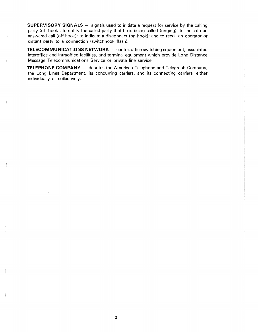**SUPERVISORY SIGNALS** - signals used to initiate a request for service by the calling party (off-hook); to notify the called party that he is being called (ringing); to indicate an answered call (off-hook); to indicate a disconnect (on-hook); and to recall an operator or distant party to a connection (switchhook flash).

**TELECOMMUNICATIONS NETWORK** - central office switching equipment, associated interoffice and intraoffice facilities, and terminal equipment which provide Long Distance Message Telecommunications Service or private line service.

**TELEPHONE COMPANY** - denotes the American Telephone and Telegraph Company, the Long Lines Department, its concurring carriers, and its connecting carriers, either individually or collectively.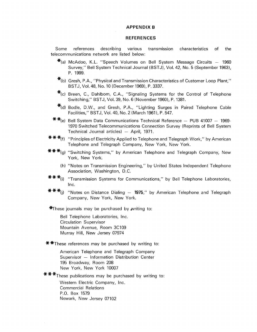#### **APPENDIX B**

# **REFERENCES**

Some references describing various transmission characteristics of the telecommunications network are listed below:

- $\star$ (a) McAdoo, K.L. "Speech Volumes on Bell System Message Circuits  $-$  1960 Survey," Bell System Technical Journal (BSTJ), Vol. 42, No. 5 (September 1963), P. 1999.
- $\mathbf{*}$ (b) Gresh, P.A., "Physical and Transmission Characteristics of Customer Loop Plant," BSTJ, Vol. 48, No. 10 (December 1969), P. 3337.
- $*_{c}$ ) Breen, C., Dahlbom, C.A., "Signaling Systems for the Control of Telephone Switching," BSTJ, Vol. 39, No. 6 (November 1960), P. 1381.
- $*$ (d) Bodle, D.W., and Gresh, P.A., "Lighting Surges in Paired Telephone Cable Facilities," BSTJ, Vol. 40, No. 2 (March 1961), P. 547.
- **\* \***(e) Bell System Data Communications Technical Reference  $-$  PUB 41007  $-$  1969-1970 Switched Telecommunications Connection Survey (Reprints of Bell System Technical Journal articles)  $-$  April, 1971.
- \* \* \*m "Principles of Electricity Applied to Telephone and Telegraph Work," by American Telephone and Telegraph Company, New York, New York.
- \*\*\*(g) "Switching Systems," by American Telephone and Telegraph Company, New York, New York.
	- (h) "Notes on Transmission Engineering," by United States Independent Telephone Association, Washington, D.C.
- \*\*\* $f$ <sup>\*</sup>(i) "Transmission Systems for Communications," by Bell Telephone Laboratories, Inc.
- \* \* \*(j) "Notes on Distance Dialing  $-$  1975," by American Telephone and Telegraph Company, New York, New York.

 $*$ These journals may be purchased by writing to:

Bell Telephone Laboratories, Inc. Circulation Supervisor Mountain Avenue, Room 3C109 Murray Hill, New Jersey 07974

**\*** <sup>\*</sup>These references may be purchased by writing to:

American Telephone and Telegraph Company Supervisor - Information Distribution Center 195 Broadway, Room 208 New York, New York 10007

\*\*\*These publications may be purchased by writing to:

Western Electric Company, Inc. Commercial Relations P.O. Box 1579 Newark, New Jersey 07102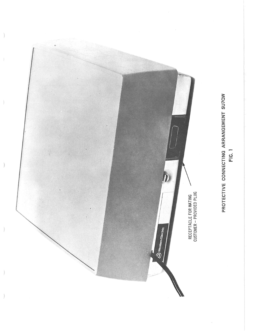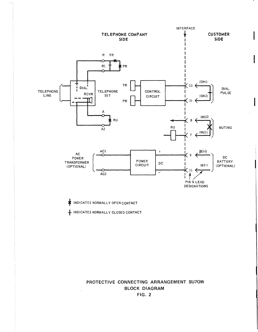

**INDICATES NORMALLY OPEN CONTACT** 

 $\bar{1}$ 

+ INDICATES NORMALLY CLOSED CONTACT

**PROTECTIVE CONNECTING ARRANGEMENT SU7OW BLOCK DIAGRAM FIG. 2**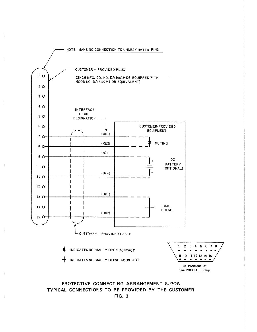

PROTECTIVE CONNECTING ARRANGEMENT SU7OW TYPICAL CONNECTIONS TO BE PROVIDED BY THE CUSTOMER FIG. 3